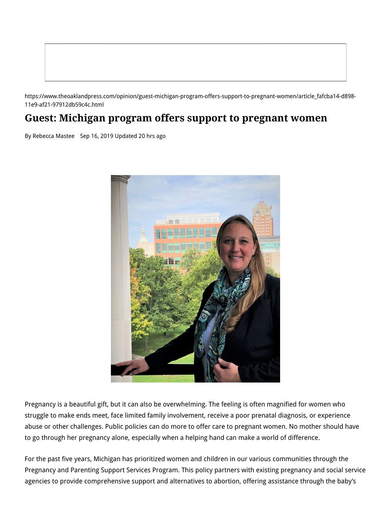https://www.theoaklandpress.com/opinion/guest-michigan-program-offers-support-to-pregnant-women/article\_fafcba14-d898- 11e9-af21-97912db59c4c.html

## **Guest: Michigan program offers support to pregnant women**

By Rebecca Mastee Sep 16, 2019 Updated 20 hrs ago



Pregnancy is a beautiful gift, but it can also be overwhelming. The feeling is often magnified for women who struggle to make ends meet, face limited family involvement, receive a poor prenatal diagnosis, or experience abuse or other challenges. Public policies can do more to offer care to pregnant women. No mother should have to go through her pregnancy alone, especially when a helping hand can make a world of difference.

For the past five years, Michigan has prioritized women and children in our various communities through the Pregnancy and Parenting Support Services Program. This policy partners with existing pregnancy and social service agencies to provide comprehensive support and alternatives to abortion, offering assistance through the baby's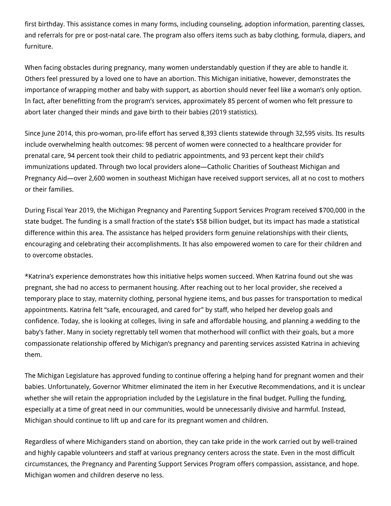first birthday. This assistance comes in many forms, including counseling, adoption information, parenting classes, and referrals for pre or post-natal care. The program also offers items such as baby clothing, formula, diapers, and furniture.

When facing obstacles during pregnancy, many women understandably question if they are able to handle it. Others feel pressured by a loved one to have an abortion. This Michigan initiative, however, demonstrates the importance of wrapping mother and baby with support, as abortion should never feel like a woman's only option. In fact, after benefitting from the program's services, approximately 85 percent of women who felt pressure to abort later changed their minds and gave birth to their babies (2019 statistics).

Since June 2014, this pro-woman, pro-life effort has served 8,393 clients statewide through 32,595 visits. Its results include overwhelming health outcomes: 98 percent of women were connected to a healthcare provider for prenatal care, 94 percent took their child to pediatric appointments, and 93 percent kept their child's immunizations updated. Through two local providers alone—Catholic Charities of Southeast Michigan and Pregnancy Aid—over 2,600 women in southeast Michigan have received support services, all at no cost to mothers or their families.

During Fiscal Year 2019, the Michigan Pregnancy and Parenting Support Services Program received \$700,000 in the state budget. The funding is a small fraction of the state's \$58 billion budget, but its impact has made a statistical difference within this area. The assistance has helped providers form genuine relationships with their clients, encouraging and celebrating their accomplishments. It has also empowered women to care for their children and to overcome obstacles.

\*Katrina's experience demonstrates how this initiative helps women succeed. When Katrina found out she was pregnant, she had no access to permanent housing. After reaching out to her local provider, she received a temporary place to stay, maternity clothing, personal hygiene items, and bus passes for transportation to medical appointments. Katrina felt "safe, encouraged, and cared for" by staff, who helped her develop goals and confidence. Today, she is looking at colleges, living in safe and affordable housing, and planning a wedding to the baby's father. Many in society regrettably tell women that motherhood will conflict with their goals, but a more compassionate relationship offered by Michigan's pregnancy and parenting services assisted Katrina in achieving them.

The Michigan Legislature has approved funding to continue offering a helping hand for pregnant women and their babies. Unfortunately, Governor Whitmer eliminated the item in her Executive Recommendations, and it is unclear whether she will retain the appropriation included by the Legislature in the final budget. Pulling the funding, especially at a time of great need in our communities, would be unnecessarily divisive and harmful. Instead, Michigan should continue to lift up and care for its pregnant women and children.

Regardless of where Michiganders stand on abortion, they can take pride in the work carried out by well-trained and highly capable volunteers and staff at various pregnancy centers across the state. Even in the most difficult circumstances, the Pregnancy and Parenting Support Services Program offers compassion, assistance, and hope. Michigan women and children deserve no less.